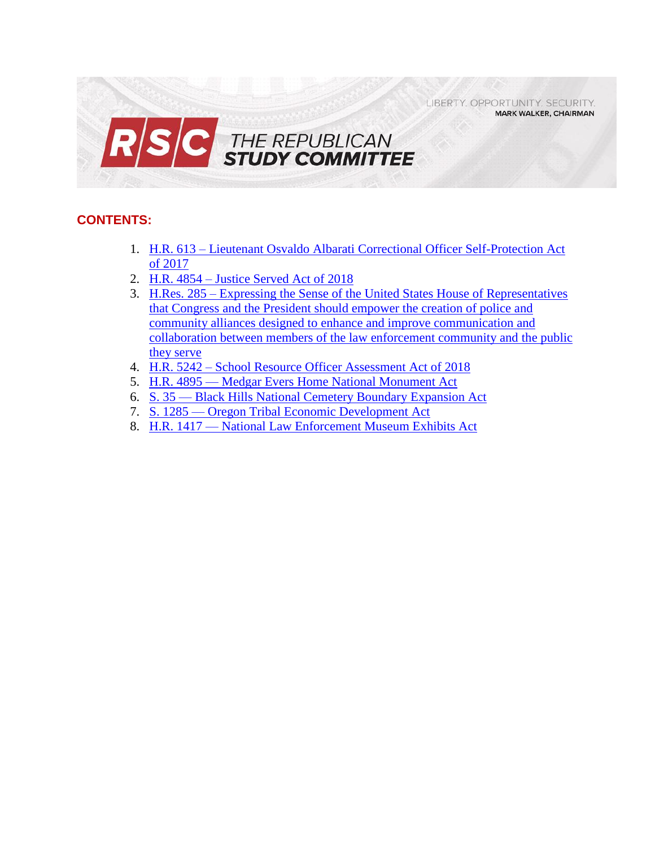LIBERTY. OPPORTUNITY. SECURITY. **MARK WALKER, CHAIRMAN** 



# **CONTENTS:**

- 1. H.R. 613 [Lieutenant Osvaldo Albarati Correctional Officer Self-Protection Act](#page-1-0)  [of 2017](#page-1-0)
- 2. H.R. 4854 [Justice Served Act of 2018](#page-3-0)
- 3. H.Res. 285 [Expressing the Sense of the United States House of Representatives](#page-5-0)  [that Congress and the President should empower the creation of police and](#page-5-0)  [community alliances designed to enhance and improve communication and](#page-5-0)  [collaboration between members of the law enforcement community and](#page-5-0) the public [they serve](#page-5-0)
- 4. H.R. 5242 [School Resource Officer Assessment Act of 2018](#page-7-0)
- 5. H.R. 4895 [Medgar Evers Home National Monument Act](#page-8-0)
- 6. S. 35 [Black Hills National Cemetery Boundary](#page-10-0) Expansion Act
- 7. S. 1285 [Oregon Tribal Economic Development Act](#page-12-0)
- 8. H.R. 1417 [National Law Enforcement Museum Exhibits Act](#page-14-0)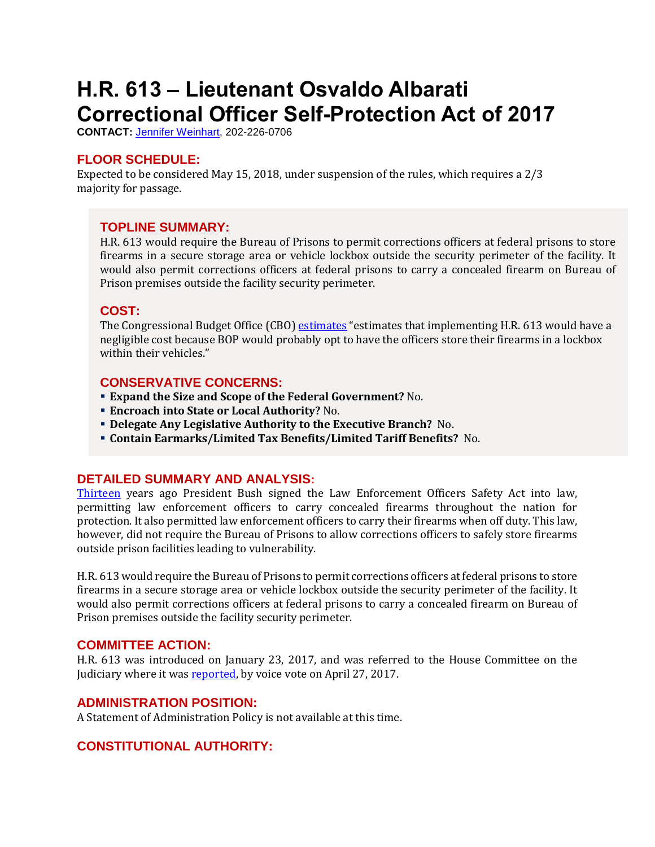# <span id="page-1-0"></span>**H.R. 613 – Lieutenant Osvaldo Albarati Correctional Officer Self-Protection Act of 2017**

**CONTACT:** [Jennifer Weinhart,](mailto:jennifer.weinhart@mail.house.gov) 202-226-0706

## **FLOOR SCHEDULE:**

Expected to be considered May 15, 2018, under suspension of the rules, which requires a 2/3 majority for passage.

#### **TOPLINE SUMMARY:**

H.R. 613 would require the Bureau of Prisons to permit corrections officers at federal prisons to store firearms in a secure storage area or vehicle lockbox outside the security perimeter of the facility. It would also permit corrections officers at federal prisons to carry a concealed firearm on Bureau of Prison premises outside the facility security perimeter.

#### **COST:**

The Congressional Budget Office (CBO) [estimates](https://www.cbo.gov/system/files/115th-congress-2017-2018/costestimate/hr613.pdf) "estimates that implementing H.R. 613 would have a negligible cost because BOP would probably opt to have the officers store their firearms in a lockbox within their vehicles."

### **CONSERVATIVE CONCERNS:**

- **Expand the Size and Scope of the Federal Government?** No.
- **Encroach into State or Local Authority?** No.
- **Delegate Any Legislative Authority to the Executive Branch?** No.
- **Contain Earmarks/Limited Tax Benefits/Limited Tariff Benefits?** No.

#### **DETAILED SUMMARY AND ANALYSIS:**

[Thirteen](https://judiciary.house.gov/press-release/goodlatte-statement-markup-lt-osvaldo-albarati-correctional-officer-self-protection-act/) years ago President Bush signed the Law Enforcement Officers Safety Act into law, permitting law enforcement officers to carry concealed firearms throughout the nation for protection. It also permitted law enforcement officers to carry their firearms when off duty. This law, however, did not require the Bureau of Prisons to allow corrections officers to safely store firearms outside prison facilities leading to vulnerability.

H.R. 613 would require the Bureau of Prisons to permit corrections officers at federal prisons to store firearms in a secure storage area or vehicle lockbox outside the security perimeter of the facility. It would also permit corrections officers at federal prisons to carry a concealed firearm on Bureau of Prison premises outside the facility security perimeter.

#### **COMMITTEE ACTION:**

H.R. 613 was introduced on January 23, 2017, and was referred to the House Committee on the Judiciary where it was [reported,](https://judiciary.house.gov/markup/h-r-2152-citizens-right-know-act-2017/) by voice vote on April 27, 2017.

#### **ADMINISTRATION POSITION:**

A Statement of Administration Policy is not available at this time.

# **CONSTITUTIONAL AUTHORITY:**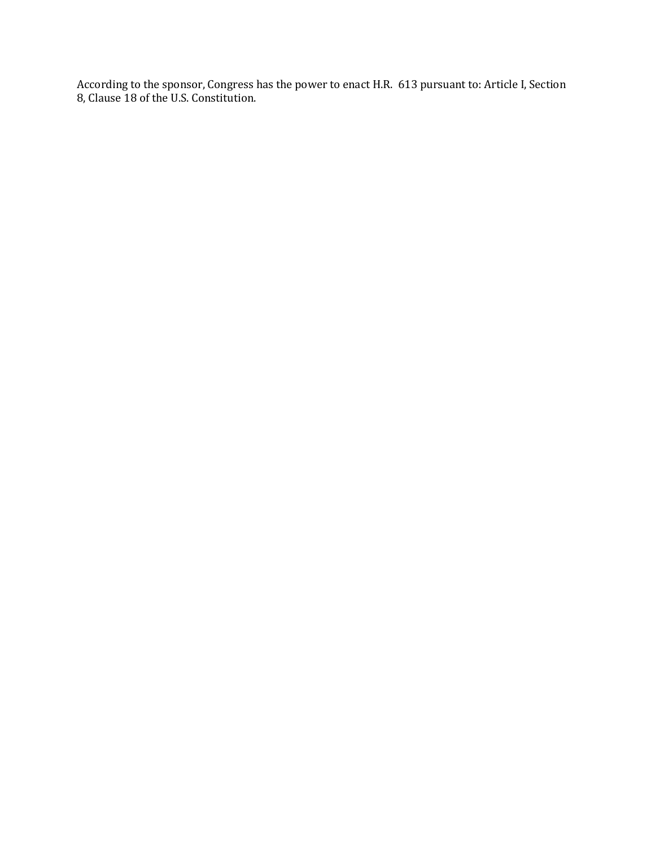According to the sponsor, Congress has the power to enact H.R. 613 pursuant to: Article I, Section 8, Clause 18 of the U.S. Constitution.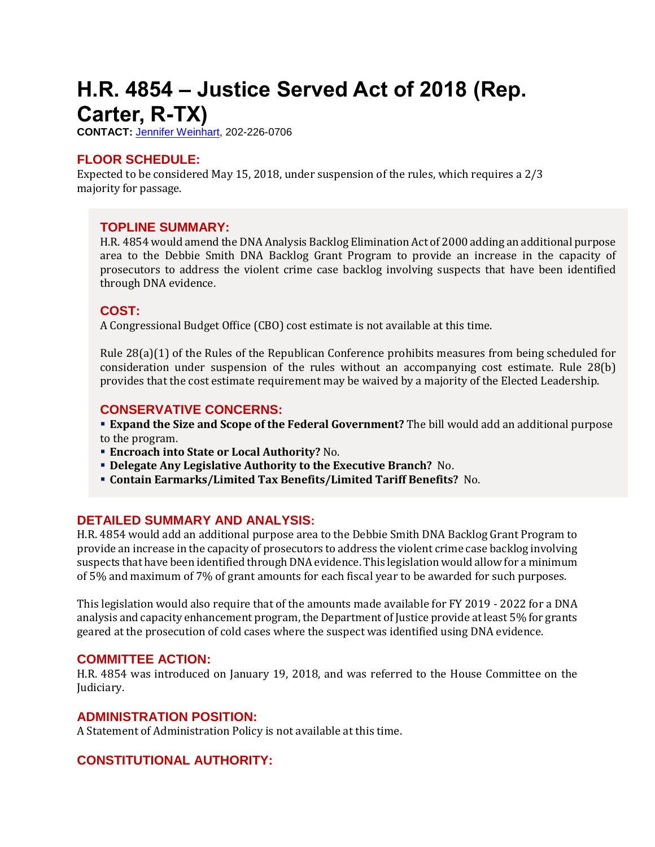# <span id="page-3-0"></span>**H.R. 4854 – Justice Served Act of 2018 (Rep. Carter, R-TX)**

**CONTACT:** [Jennifer Weinhart,](mailto:jennifer.weinhart@mail.house.gov) 202-226-0706

# **FLOOR SCHEDULE:**

Expected to be considered May 15, 2018, under suspension of the rules, which requires a 2/3 majority for passage.

### **TOPLINE SUMMARY:**

H.R. 4854 would amend the DNA Analysis Backlog Elimination Act of 2000 adding an additional purpose area to the Debbie Smith DNA Backlog Grant Program to provide an increase in the capacity of prosecutors to address the violent crime case backlog involving suspects that have been identified through DNA evidence.

### **COST:**

A Congressional Budget Office (CBO) cost estimate is not available at this time.

Rule 28(a)(1) of the Rules of the Republican Conference prohibits measures from being scheduled for consideration under suspension of the rules without an accompanying cost estimate. Rule 28(b) provides that the cost estimate requirement may be waived by a majority of the Elected Leadership.

### **CONSERVATIVE CONCERNS:**

 **Expand the Size and Scope of the Federal Government?** The bill would add an additional purpose to the program.

- **Encroach into State or Local Authority?** No.
- **Delegate Any Legislative Authority to the Executive Branch?** No.
- **Contain Earmarks/Limited Tax Benefits/Limited Tariff Benefits?** No.

# **DETAILED SUMMARY AND ANALYSIS:**

H.R. 4854 would add an additional purpose area to the Debbie Smith DNA Backlog Grant Program to provide an increase in the capacity of prosecutors to address the violent crime case backlog involving suspects that have been identified through DNA evidence. This legislation would allow for a minimum of 5% and maximum of 7% of grant amounts for each fiscal year to be awarded for such purposes.

This legislation would also require that of the amounts made available for FY 2019 - 2022 for a DNA analysis and capacity enhancement program, the Department of Justice provide at least 5% for grants geared at the prosecution of cold cases where the suspect was identified using DNA evidence.

#### **COMMITTEE ACTION:**

H.R. 4854 was introduced on January 19, 2018, and was referred to the House Committee on the Judiciary.

#### **ADMINISTRATION POSITION:**

A Statement of Administration Policy is not available at this time.

# **CONSTITUTIONAL AUTHORITY:**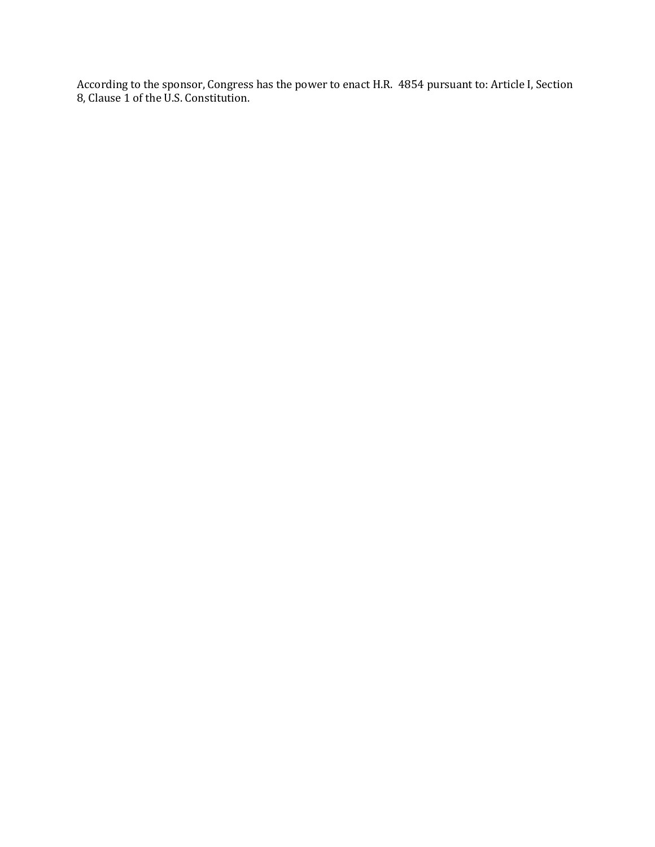According to the sponsor, Congress has the power to enact H.R. 4854 pursuant to: Article I, Section 8, Clause 1 of the U.S. Constitution.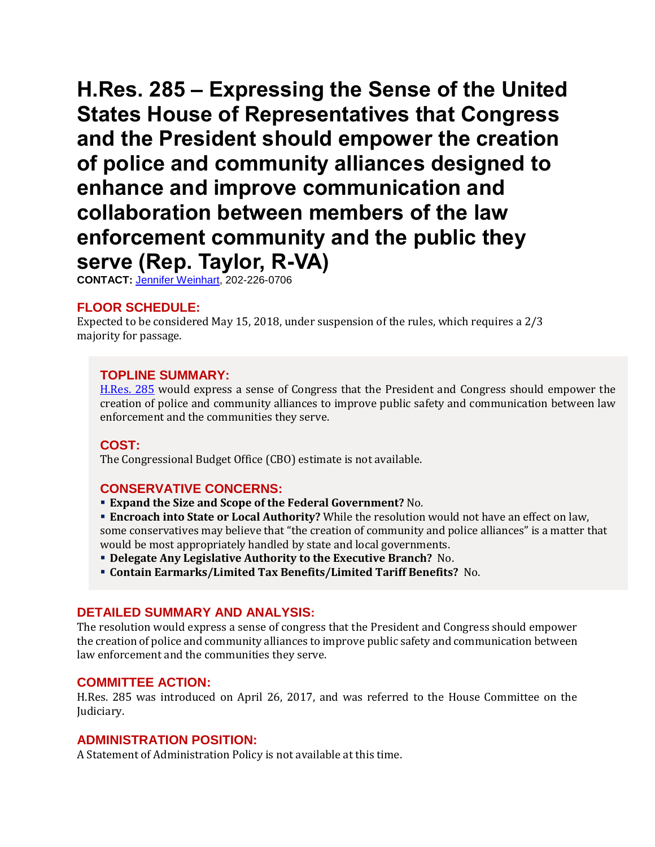<span id="page-5-0"></span>**H.Res. 285 – Expressing the Sense of the United States House of Representatives that Congress and the President should empower the creation of police and community alliances designed to enhance and improve communication and collaboration between members of the law enforcement community and the public they serve (Rep. Taylor, R-VA)** 

**CONTACT:** [Jennifer Weinhart,](mailto:jennifer.weinhart@mail.house.gov) 202-226-0706

### **FLOOR SCHEDULE:**

Expected to be considered May 15, 2018, under suspension of the rules, which requires a 2/3 majority for passage.

#### **TOPLINE SUMMARY:**

[H.Res. 285](https://docs.house.gov/billsthisweek/20180514/HRES285.pdf) would express a sense of Congress that the President and Congress should empower the creation of police and community alliances to improve public safety and communication between law enforcement and the communities they serve.

#### **COST:**

The Congressional Budget Office (CBO) estimate is not available.

#### **CONSERVATIVE CONCERNS:**

**Expand the Size and Scope of the Federal Government?** No.

 **Encroach into State or Local Authority?** While the resolution would not have an effect on law, some conservatives may believe that "the creation of community and police alliances" is a matter that would be most appropriately handled by state and local governments.

- **Delegate Any Legislative Authority to the Executive Branch?** No.
- **Contain Earmarks/Limited Tax Benefits/Limited Tariff Benefits?** No.

#### **DETAILED SUMMARY AND ANALYSIS:**

The resolution would express a sense of congress that the President and Congress should empower the creation of police and community alliances to improve public safety and communication between law enforcement and the communities they serve.

#### **COMMITTEE ACTION:**

H.Res. 285 was introduced on April 26, 2017, and was referred to the House Committee on the Judiciary.

#### **ADMINISTRATION POSITION:**

A Statement of Administration Policy is not available at this time.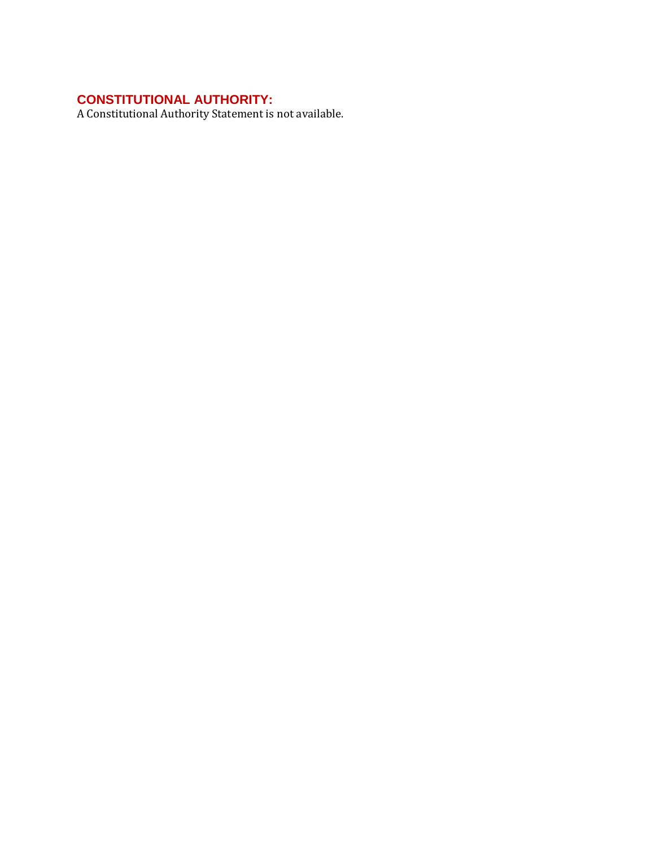# **CONSTITUTIONAL AUTHORITY:**

A Constitutional Authority Statement is not available.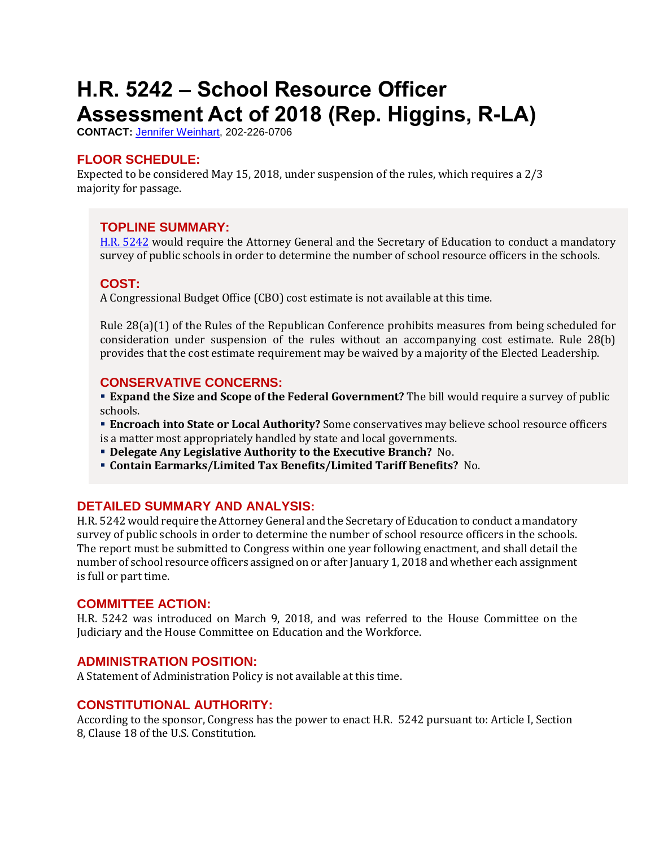# <span id="page-7-0"></span>**H.R. 5242 – School Resource Officer Assessment Act of 2018 (Rep. Higgins, R-LA)**

**CONTACT:** [Jennifer Weinhart,](mailto:jennifer.weinhart@mail.house.gov) 202-226-0706

## **FLOOR SCHEDULE:**

Expected to be considered May 15, 2018, under suspension of the rules, which requires a 2/3 majority for passage.

### **TOPLINE SUMMARY:**

H.R. [5242](http://docs.house.gov/billsthisweek/20180514/HR5242.pdf) would require the Attorney General and the Secretary of Education to conduct a mandatory survey of public schools in order to determine the number of school resource officers in the schools.

### **COST:**

A Congressional Budget Office (CBO) cost estimate is not available at this time.

Rule 28(a)(1) of the Rules of the Republican Conference prohibits measures from being scheduled for consideration under suspension of the rules without an accompanying cost estimate. Rule 28(b) provides that the cost estimate requirement may be waived by a majority of the Elected Leadership.

#### **CONSERVATIVE CONCERNS:**

**Expand the Size and Scope of the Federal Government?** The bill would require a survey of public schools.

 **Encroach into State or Local Authority?** Some conservatives may believe school resource officers is a matter most appropriately handled by state and local governments.

**Delegate Any Legislative Authority to the Executive Branch?** No.

**Contain Earmarks/Limited Tax Benefits/Limited Tariff Benefits?** No.

#### **DETAILED SUMMARY AND ANALYSIS:**

H.R. 5242 would require the Attorney General and the Secretary of Education to conduct a mandatory survey of public schools in order to determine the number of school resource officers in the schools. The report must be submitted to Congress within one year following enactment, and shall detail the number of school resource officers assigned on or after January 1, 2018 and whether each assignment is full or part time.

#### **COMMITTEE ACTION:**

H.R. 5242 was introduced on March 9, 2018, and was referred to the House Committee on the Judiciary and the House Committee on Education and the Workforce.

#### **ADMINISTRATION POSITION:**

A Statement of Administration Policy is not available at this time.

#### **CONSTITUTIONAL AUTHORITY:**

According to the sponsor, Congress has the power to enact H.R. 5242 pursuant to: Article I, Section 8, Clause 18 of the U.S. Constitution.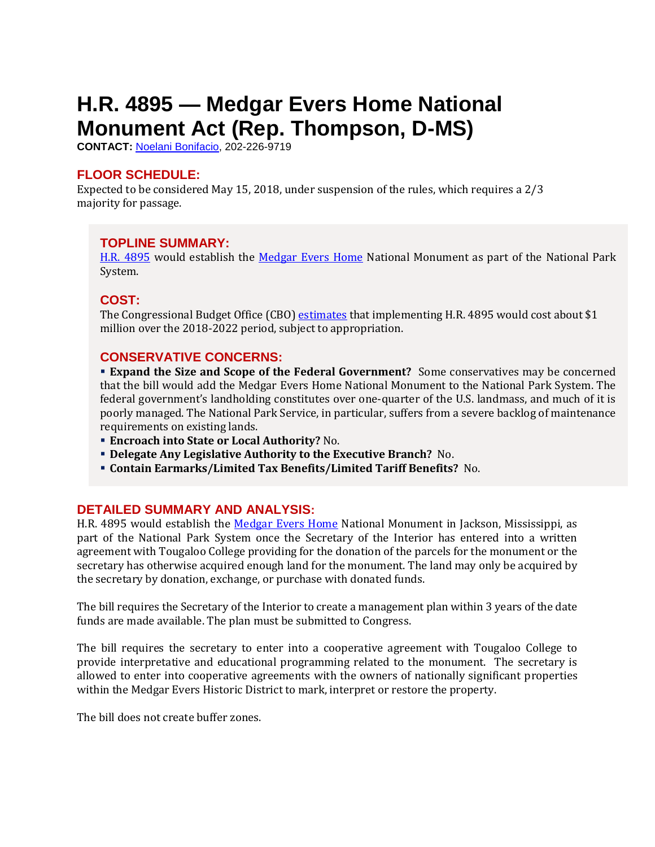# <span id="page-8-0"></span>**H.R. 4895 — Medgar Evers Home National Monument Act (Rep. Thompson, D-MS)**

**CONTACT:** [Noelani Bonifacio,](mailto:Noelani.Bonifacio@mail.house.gov) 202-226-9719

# **FLOOR SCHEDULE:**

Expected to be considered May 15, 2018, under suspension of the rules, which requires a 2/3 majority for passage.

# **TOPLINE SUMMARY:**

[H.R. 4895](https://docs.house.gov/billsthisweek/20180514/HR4895.pdf) would establish the [Medgar Evers Home](https://civilrightstrail.com/attraction/medgar-evers-home/) National Monument as part of the National Park System.

### **COST:**

The Congressional Budget Office (CBO) [estimates](https://www.cbo.gov/system/files/115th-congress-2017-2018/costestimate/hr1417.pdf) that implementing H.R. 4895 would cost about \$1 million over the 2018-2022 period, subject to appropriation.

### **CONSERVATIVE CONCERNS:**

 **Expand the Size and Scope of the Federal Government?** Some conservatives may be concerned that the bill would add the Medgar Evers Home National Monument to the National Park System. The federal government's landholding constitutes over one-quarter of the U.S. landmass, and much of it is poorly managed. The National Park Service, in particular, suffers from a severe backlog of maintenance requirements on existing lands.

- **Encroach into State or Local Authority?** No.
- **Delegate Any Legislative Authority to the Executive Branch?** No.
- **Contain Earmarks/Limited Tax Benefits/Limited Tariff Benefits?** No.

#### **DETAILED SUMMARY AND ANALYSIS:**

H.R. 4895 would establish the [Medgar Evers Home](https://civilrightstrail.com/attraction/medgar-evers-home/) National Monument in Jackson, Mississippi, as part of the National Park System once the Secretary of the Interior has entered into a written agreement with Tougaloo College providing for the donation of the parcels for the monument or the secretary has otherwise acquired enough land for the monument. The land may only be acquired by the secretary by donation, exchange, or purchase with donated funds.

The bill requires the Secretary of the Interior to create a management plan within 3 years of the date funds are made available. The plan must be submitted to Congress.

The bill requires the secretary to enter into a cooperative agreement with Tougaloo College to provide interpretative and educational programming related to the monument. The secretary is allowed to enter into cooperative agreements with the owners of nationally significant properties within the Medgar Evers Historic District to mark, interpret or restore the property.

The bill does not create buffer zones.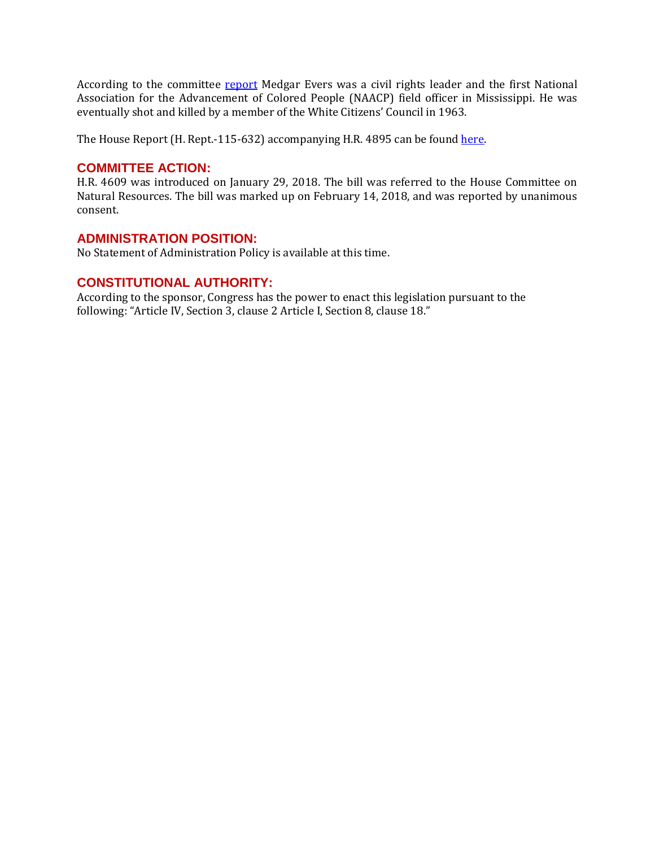According to the committee [report](https://www.congress.gov/115/crpt/hrpt632/CRPT-115hrpt632.pdf) Medgar Evers was a civil rights leader and the first National Association for the Advancement of Colored People (NAACP) field officer in Mississippi. He was eventually shot and killed by a member of the White Citizens' Council in 1963.

The House Report (H. Rept.-115-632) accompanying H.R. 4895 can be foun[d here.](https://www.congress.gov/115/crpt/hrpt632/CRPT-115hrpt632.pdf)

#### **COMMITTEE ACTION:**

H.R. 4609 was introduced on January 29, 2018. The bill was referred to the House Committee on Natural Resources. The bill was marked up on February 14, 2018, and was reported by unanimous consent.

#### **ADMINISTRATION POSITION:**

No Statement of Administration Policy is available at this time.

#### **CONSTITUTIONAL AUTHORITY:**

According to the sponsor, Congress has the power to enact this legislation pursuant to the following: "Article IV, Section 3, clause 2 Article I, Section 8, clause 18."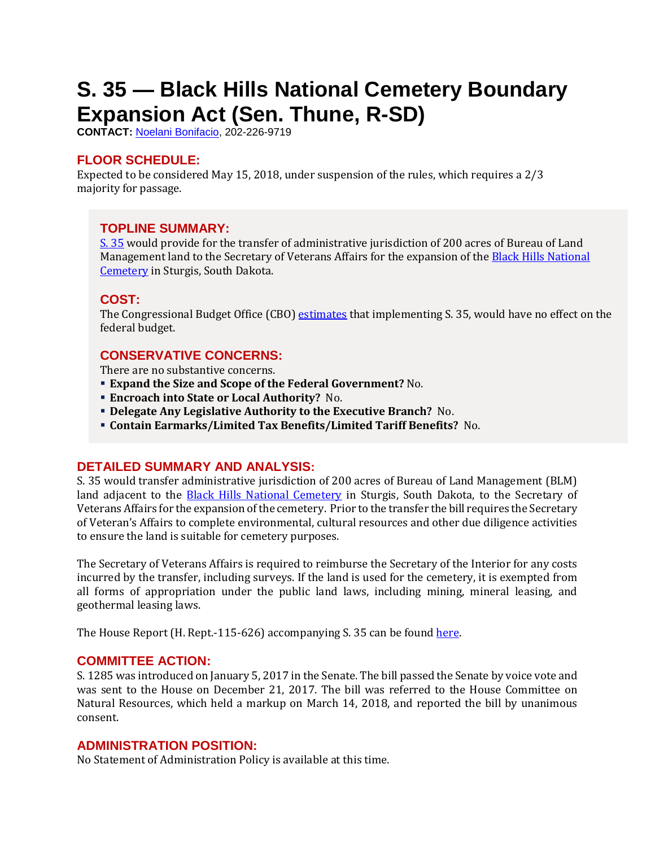# <span id="page-10-0"></span>**S. 35 — Black Hills National Cemetery Boundary Expansion Act (Sen. Thune, R-SD)**

**CONTACT:** [Noelani Bonifacio,](mailto:Noelani.Bonifacio@mail.house.gov) 202-226-9719

# **FLOOR SCHEDULE:**

Expected to be considered May 15, 2018, under suspension of the rules, which requires a 2/3 majority for passage.

# **TOPLINE SUMMARY:**

[S. 35](https://docs.house.gov/billsthisweek/20180514/S35.pdf) would provide for the transfer of administrative jurisdiction of 200 acres of Bureau of Land Management land to the Secretary of Veterans Affairs for the expansion of the [Black Hills National](https://www.cem.va.gov/cems/nchp/blackhills.asp)  [Cemetery](https://www.cem.va.gov/cems/nchp/blackhills.asp) in Sturgis, South Dakota.

# **COST:**

The Congressional Budget Office (CBO) [estimates](https://www.cbo.gov/system/files/115th-congress-2017-2018/costestimate/s35house.pdfhttps:/www.cbo.gov/system/files/115th-congress-2017-2018/costestimate/s1285house.pdf) that implementing S. 35, would have no effect on the federal budget.

# **CONSERVATIVE CONCERNS:**

There are no substantive concerns.

- **Expand the Size and Scope of the Federal Government?** No.
- **Encroach into State or Local Authority?** No.
- **Delegate Any Legislative Authority to the Executive Branch?** No.
- **Contain Earmarks/Limited Tax Benefits/Limited Tariff Benefits?** No.

# **DETAILED SUMMARY AND ANALYSIS:**

S. 35 would transfer administrative jurisdiction of 200 acres of Bureau of Land Management (BLM) land adjacent to the **Black Hills National Cemetery** in Sturgis, South Dakota, to the Secretary of Veterans Affairs for the expansion of the cemetery. Prior to the transfer the bill requires the Secretary of Veteran's Affairs to complete environmental, cultural resources and other due diligence activities to ensure the land is suitable for cemetery purposes.

The Secretary of Veterans Affairs is required to reimburse the Secretary of the Interior for any costs incurred by the transfer, including surveys. If the land is used for the cemetery, it is exempted from all forms of appropriation under the public land laws, including mining, mineral leasing, and geothermal leasing laws.

The House Report (H. Rept.-115-626) accompanying S. 35 can be found [here.](https://www.congress.gov/115/crpt/hrpt626/CRPT-115hrpt626-pt1.pdfhttps:/www.congress.gov/115/crpt/hrpt507/CRPT-115hrpt507.pdf) 

#### **COMMITTEE ACTION:**

S. 1285 was introduced on January 5, 2017 in the Senate. The bill passed the Senate by voice vote and was sent to the House on December 21, 2017. The bill was referred to the House Committee on Natural Resources, which held a markup on March 14, 2018, and reported the bill by unanimous consent.

# **ADMINISTRATION POSITION:**

No Statement of Administration Policy is available at this time.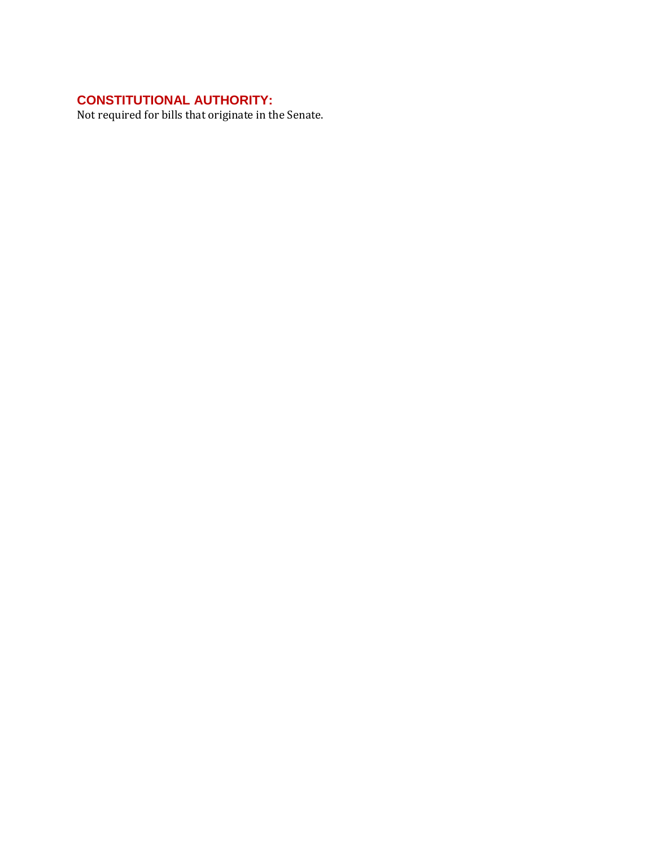# **CONSTITUTIONAL AUTHORITY:**

Not required for bills that originate in the Senate.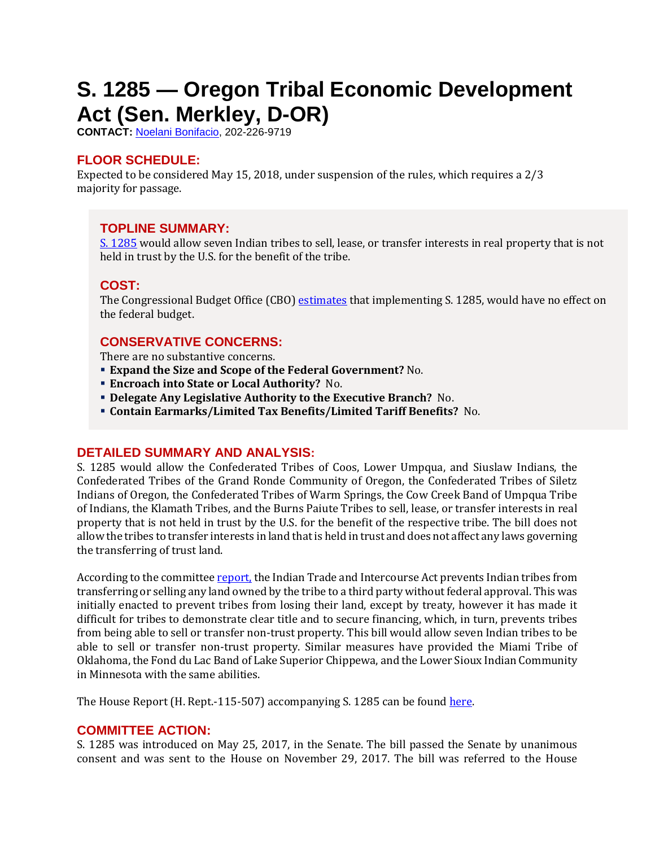# <span id="page-12-0"></span>**S. 1285 — Oregon Tribal Economic Development Act (Sen. Merkley, D-OR)**

**CONTACT:** [Noelani Bonifacio,](mailto:Noelani.Bonifacio@mail.house.gov) 202-226-9719

# **FLOOR SCHEDULE:**

Expected to be considered May 15, 2018, under suspension of the rules, which requires a 2/3 majority for passage.

# **TOPLINE SUMMARY:**

[S. 1285](https://docs.house.gov/billsthisweek/20180514/S1285.pdf) would allow seven Indian tribes to sell, lease, or transfer interests in real property that is not held in trust by the U.S. for the benefit of the tribe.

# **COST:**

The Congressional Budget Office (CBO) [estimates](https://www.cbo.gov/system/files/115th-congress-2017-2018/costestimate/s1285house.pdf) that implementing S. 1285, would have no effect on the federal budget.

# **CONSERVATIVE CONCERNS:**

There are no substantive concerns.

- **Expand the Size and Scope of the Federal Government?** No.
- **Encroach into State or Local Authority?** No.
- **Delegate Any Legislative Authority to the Executive Branch?** No.
- **Contain Earmarks/Limited Tax Benefits/Limited Tariff Benefits?** No.

# **DETAILED SUMMARY AND ANALYSIS:**

S. 1285 would allow the Confederated Tribes of Coos, Lower Umpqua, and Siuslaw Indians, the Confederated Tribes of the Grand Ronde Community of Oregon, the Confederated Tribes of Siletz Indians of Oregon, the Confederated Tribes of Warm Springs, the Cow Creek Band of Umpqua Tribe of Indians, the Klamath Tribes, and the Burns Paiute Tribes to sell, lease, or transfer interests in real property that is not held in trust by the U.S. for the benefit of the respective tribe. The bill does not allow the tribes to transfer interests in land that is held in trust and does not affect any laws governing the transferring of trust land.

According to the committee [report,](https://www.congress.gov/115/crpt/hrpt507/CRPT-115hrpt507.pdf) the Indian Trade and Intercourse Act prevents Indian tribes from transferring or selling any land owned by the tribe to a third party without federal approval. This was initially enacted to prevent tribes from losing their land, except by treaty, however it has made it difficult for tribes to demonstrate clear title and to secure financing, which, in turn, prevents tribes from being able to sell or transfer non-trust property. This bill would allow seven Indian tribes to be able to sell or transfer non-trust property. Similar measures have provided the Miami Tribe of Oklahoma, the Fond du Lac Band of Lake Superior Chippewa, and the Lower Sioux Indian Community in Minnesota with the same abilities.

The House Report (H. Rept.-115-507) accompanying S. 1285 can be found [here.](https://www.congress.gov/115/crpt/hrpt507/CRPT-115hrpt507.pdf) 

#### **COMMITTEE ACTION:**

S. 1285 was introduced on May 25, 2017, in the Senate. The bill passed the Senate by unanimous consent and was sent to the House on November 29, 2017. The bill was referred to the House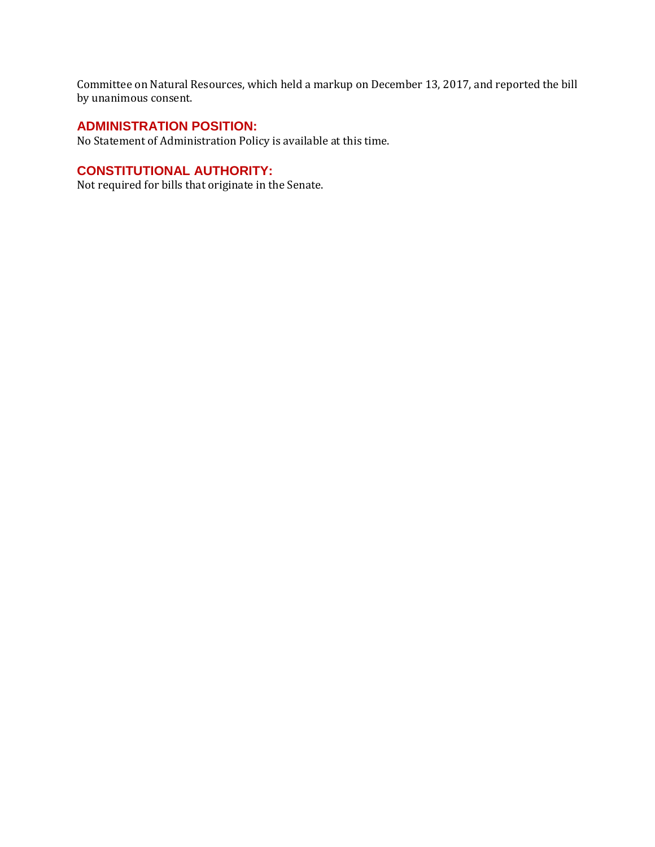Committee on Natural Resources, which held a markup on December 13, 2017, and reported the bill by unanimous consent.

### **ADMINISTRATION POSITION:**

No Statement of Administration Policy is available at this time.

# **CONSTITUTIONAL AUTHORITY:**

Not required for bills that originate in the Senate.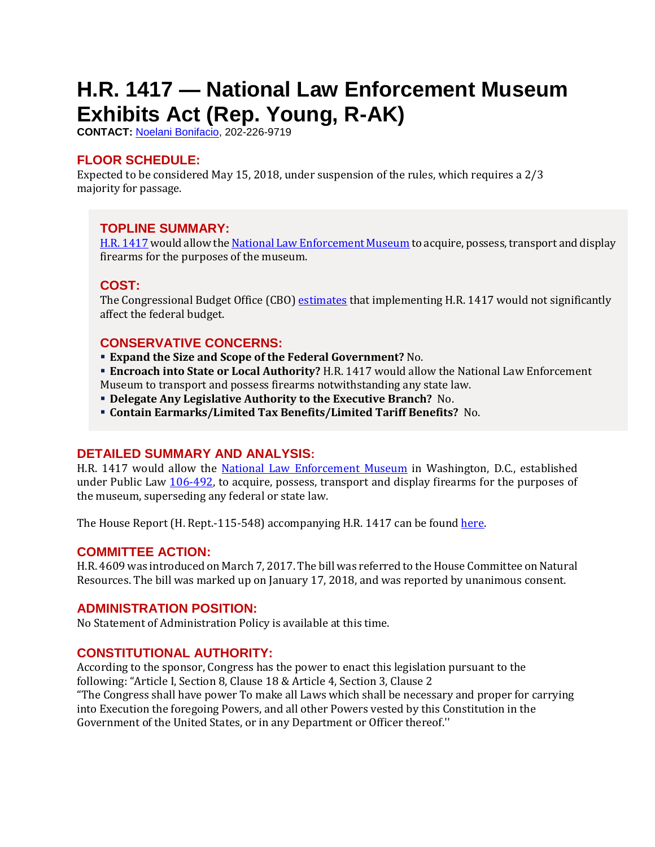# <span id="page-14-0"></span>**H.R. 1417 — National Law Enforcement Museum Exhibits Act (Rep. Young, R-AK)**

**CONTACT:** [Noelani Bonifacio,](mailto:Noelani.Bonifacio@mail.house.gov) 202-226-9719

## **FLOOR SCHEDULE:**

Expected to be considered May 15, 2018, under suspension of the rules, which requires a 2/3 majority for passage.

### **TOPLINE SUMMARY:**

[H.R. 1417](https://docs.house.gov/billsthisweek/20180514/HR1417.pdf) would allow th[e National Law Enforcement Museum](https://lawenforcementmuseum.org/) to acquire, possess, transport and display firearms for the purposes of the museum.

#### **COST:**

The Congressional Budget Office (CBO) [estimates](https://www.cbo.gov/system/files/115th-congress-2017-2018/costestimate/hr1417.pdf) that implementing H.R. 1417 would not significantly affect the federal budget.

### **CONSERVATIVE CONCERNS:**

- **Expand the Size and Scope of the Federal Government?** No.
- **Encroach into State or Local Authority?** H.R. 1417 would allow the National Law Enforcement Museum to transport and possess firearms notwithstanding any state law.
- **Delegate Any Legislative Authority to the Executive Branch?** No.
- **Contain Earmarks/Limited Tax Benefits/Limited Tariff Benefits?** No.

#### **DETAILED SUMMARY AND ANALYSIS:**

H.R. 1417 would allow the [National Law Enforcement Museum](https://lawenforcementmuseum.org/) in Washington, D.C., established under Public Law [106-492,](https://www.gpo.gov/fdsys/pkg/PLAW-106publ492/pdf/PLAW-106publ492.pdf) to acquire, possess, transport and display firearms for the purposes of the museum, superseding any federal or state law.

The House Report (H. Rept.-115-548) accompanying H.R. 1417 can be foun[d here.](https://www.congress.gov/115/crpt/hrpt548/CRPT-115hrpt548.pdf)

#### **COMMITTEE ACTION:**

H.R. 4609 was introduced on March 7, 2017. The bill was referred to the House Committee on Natural Resources. The bill was marked up on January 17, 2018, and was reported by unanimous consent.

#### **ADMINISTRATION POSITION:**

No Statement of Administration Policy is available at this time.

# **CONSTITUTIONAL AUTHORITY:**

According to the sponsor, Congress has the power to enact this legislation pursuant to the following: "Article I, Section 8, Clause 18 & Article 4, Section 3, Clause 2 "The Congress shall have power To make all Laws which shall be necessary and proper for carrying into Execution the foregoing Powers, and all other Powers vested by this Constitution in the

Government of the United States, or in any Department or Officer thereof.''